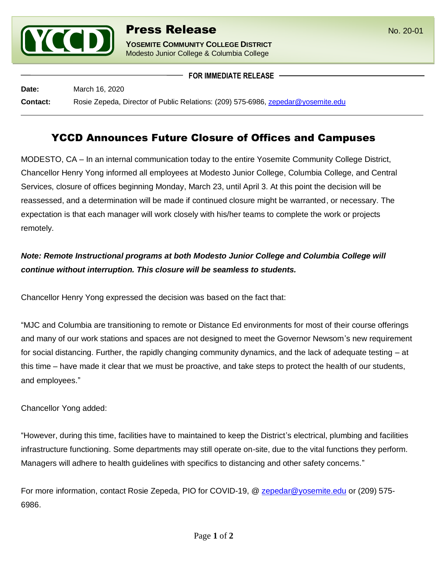

**YOSEMITE COMMUNITY COLLEGE DISTRICT** Modesto Junior College & Columbia College

**FOR IMMEDIATE RELEASE**

**Date:** March 16, 2020

**Contact:** Rosie Zepeda, Director of Public Relations: (209) 575-6986, [zepedar@yosemite.edu](mailto:zepedar@yosemite.edu)

## YCCD Announces Future Closure of Offices and Campuses

MODESTO, CA – In an internal communication today to the entire Yosemite Community College District, Chancellor Henry Yong informed all employees at Modesto Junior College, Columbia College, and Central Services, closure of offices beginning Monday, March 23, until April 3. At this point the decision will be reassessed, and a determination will be made if continued closure might be warranted, or necessary. The expectation is that each manager will work closely with his/her teams to complete the work or projects remotely.

## *Note: Remote Instructional programs at both Modesto Junior College and Columbia College will continue without interruption. This closure will be seamless to students.*

Chancellor Henry Yong expressed the decision was based on the fact that:

"MJC and Columbia are transitioning to remote or Distance Ed environments for most of their course offerings and many of our work stations and spaces are not designed to meet the Governor Newsom's new requirement for social distancing. Further, the rapidly changing community dynamics, and the lack of adequate testing – at this time – have made it clear that we must be proactive, and take steps to protect the health of our students, and employees."

Chancellor Yong added:

"However, during this time, facilities have to maintained to keep the District's electrical, plumbing and facilities infrastructure functioning. Some departments may still operate on-site, due to the vital functions they perform. Managers will adhere to health guidelines with specifics to distancing and other safety concerns."

For more information, contact Rosie Zepeda, PIO for COVID-19, @ [zepedar@yosemite.edu](mailto:zepedar@yosemite.edu) or (209) 575-6986.